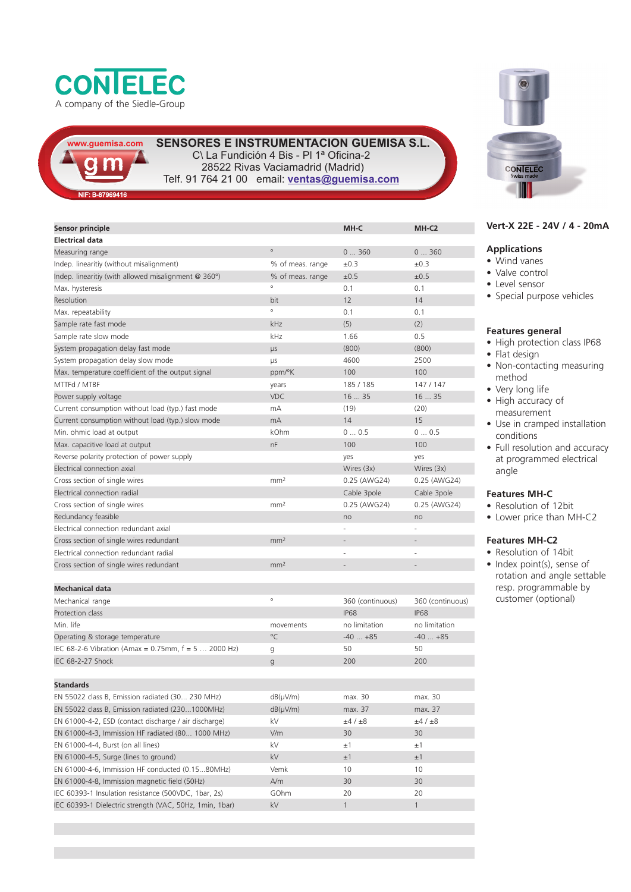



**SENSORE E INSTRUMENTACIÓN 4 Bis - PI 1<sup>ª</sup> Oficina-2** 28522 Rivas Vaciamadrid (Madrid) Telf. 91 764 21 00 email: **ventas@guemisa.com**

|  |  | NIF: B-87969416 |  |
|--|--|-----------------|--|
|  |  |                 |  |
|  |  |                 |  |

| Sensor principle                                      |                  | MH-C             | MH-C <sub>2</sub> |
|-------------------------------------------------------|------------------|------------------|-------------------|
| <b>Electrical data</b>                                | $\circ$          |                  |                   |
| Measuring range                                       |                  | 0360             | 0360              |
| Indep. linearitiy (without misalignment)              | % of meas. range | ±0.3             | $\pm 0.3$         |
| Indep. linearitiy (with allowed misalignment @ 360°)  | % of meas. range | ±0.5             | ±0.5              |
| Max. hysteresis                                       | $\circ$          | 0.1              | 0.1               |
| Resolution                                            | bit              | 12               | 14                |
| Max. repeatability                                    | $\circ$          | 0.1              | 0.1               |
| Sample rate fast mode                                 | kHz              | (5)              | (2)               |
| Sample rate slow mode                                 | kHz              | 1.66             | 0.5               |
| System propagation delay fast mode                    | <b>LIS</b>       | (800)            | (800)             |
| System propagation delay slow mode                    | μs               | 4600             | 2500              |
| Max. temperature coefficient of the output signal     | ppm/°K           | 100              | 100               |
| MTTFd / MTBF                                          | years            | 185 / 185        | 147 / 147         |
| Power supply voltage                                  | <b>VDC</b>       | 1635             | 1635              |
| Current consumption without load (typ.) fast mode     | mA               | (19)             | (20)              |
| Current consumption without load (typ.) slow mode     | mA               | 14               | 15                |
| Min. ohmic load at output                             | kOhm             | 00.5             | 00.5              |
| Max. capacitive load at output                        | nF               | 100              | 100               |
| Reverse polarity protection of power supply           |                  | yes              | yes               |
| Electrical connection axial                           |                  | Wires (3x)       | Wires (3x)        |
| Cross section of single wires                         | mm <sup>2</sup>  | 0.25 (AWG24)     | 0.25 (AWG24)      |
| Electrical connection radial                          |                  | Cable 3pole      | Cable 3pole       |
| Cross section of single wires                         | mm <sup>2</sup>  | 0.25 (AWG24)     | 0.25 (AWG24)      |
| Redundancy feasible                                   |                  | no               | no                |
| Electrical connection redundant axial                 |                  |                  |                   |
| Cross section of single wires redundant               | mm <sup>2</sup>  |                  |                   |
| Electrical connection redundant radial                |                  |                  |                   |
| Cross section of single wires redundant               | mm <sup>2</sup>  |                  |                   |
|                                                       |                  |                  |                   |
| <b>Mechanical data</b>                                |                  |                  |                   |
| Mechanical range                                      | $\circ$          | 360 (continuous) | 360 (continuous)  |
| Protection class                                      |                  | <b>IP68</b>      | <b>IP68</b>       |
| Min. life                                             | movements        | no limitation    | no limitation     |
| Operating & storage temperature                       | °C               | $-40+85$         | $-40+85$          |
| IEC 68-2-6 Vibration (Amax = 0.75mm, $f = 5$ 2000 Hz) | g                | 50               | 50                |
| IEC 68-2-27 Shock                                     | g                | 200              | 200               |
|                                                       |                  |                  |                   |
| <b>Standards</b>                                      |                  |                  |                   |
| EN 55022 class B, Emission radiated (30 230 MHz)      | $dB(\mu V/m)$    | max. 30          | max. 30           |
| EN 55022 class B, Emission radiated (2301000MHz)      | $dB(\mu V/m)$    | max. 37          | max. 37           |
| EN 61000-4-2, ESD (contact discharge / air discharge) | kV               | ±4 / ±8          | ±4 / ±8           |
| EN 61000-4-3, Immission HF radiated (80 1000 MHz)     | V/m              | 30               | 30                |
| EN 61000-4-4, Burst (on all lines)                    | kV               | ±1               | ±1                |
| EN 61000-4-5, Surge (lines to ground)                 | kV               | ±1               | ±1                |
| EN 61000-4-6, Immission HF conducted (0.1580MHz)      | Vemk             | 10               | 10                |

EN 61000-4-8, Immission magnetic field (50Hz)  $A/m$  30 30 IEC 60393-1 Insulation resistance (500VDC, 1bar, 2s) GOhm 20 IEC 60393-1 Dielectric strength (VAC, 50Hz, 1min, 1bar) kV 1 1



## **Vert-X 22E - 24V / 4 - 20mA**

## **Applications**

- Wind vanes
- Valve control
- Level sensor
- Special purpose vehicles

### **Features general**

- High protection class IP68 • Flat design
- 
- Non-contacting measuring method
- Very long life • High accuracy of
- measurement • Use in cramped installation
- conditions • Full resolution and accuracy at programmed electrical angle

### **Features MH-C**

- Resolution of 12bit
- Lower price than MH-C2

# **Features MH-C2**

• Resolution of 14bit • Index point(s), sense of rotation and angle settable resp. programmable by customer (optional)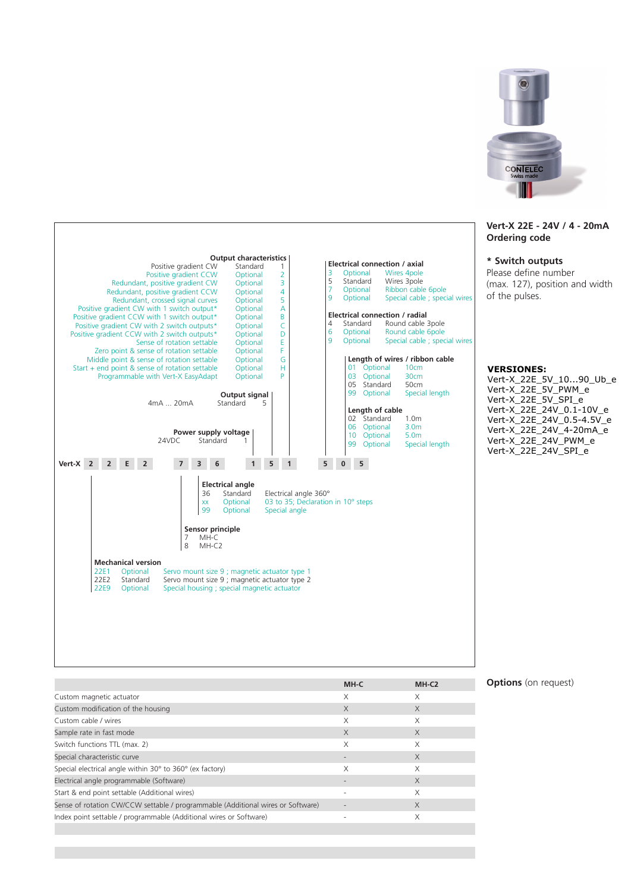

#### **Vert-X 22E - 24V / 4 - 20mA Ordering code**

### **\* Switch outputs**

Please define number (max. 127), position and width of the pulses.

#### **VERSIONES:**

Vert-X\_22E\_5V\_10...90\_Ub\_e Vert-X\_22E\_5V\_PWM\_e Vert-X\_22E\_5V\_SPI\_e Vert-X\_22E\_24V\_0.1-10V\_e Vert-X\_22E\_24V\_0.5-4.5V\_e Vert-X\_22E\_24V\_4-20mA\_e Vert-X\_22E\_24V\_PWM\_e Vert-X\_22E\_24V\_SPI\_e



|                                                                                 | MH-C     | MH-C <sub>2</sub> |
|---------------------------------------------------------------------------------|----------|-------------------|
| Custom magnetic actuator                                                        | X        | X                 |
| Custom modification of the housing                                              | $\times$ | $\times$          |
| Custom cable / wires                                                            | X        | X                 |
| Sample rate in fast mode                                                        | $\times$ | $\times$          |
| Switch functions TTL (max. 2)                                                   | X        | X                 |
| Special characteristic curve                                                    |          | $\times$          |
| Special electrical angle within 30° to 360° (ex factory)                        | X        | X                 |
| Electrical angle programmable (Software)                                        |          | $\times$          |
| Start & end point settable (Additional wires)                                   |          | X                 |
| Sense of rotation CW/CCW settable / programmable (Additional wires or Software) | ٠        | $\times$          |
| Index point settable / programmable (Additional wires or Software)              |          | X                 |

## **Options** (on request)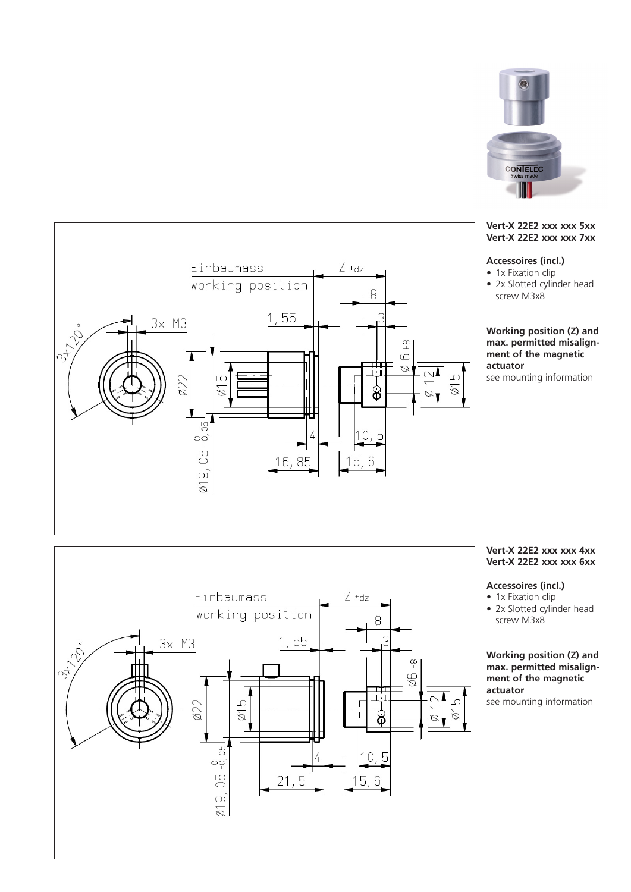



# **Accessoires (incl.)**

- 1x Fixation clip
- 2x Slotted cylinder head screw M3x8

# **Working position (Z) and max. permitted misalignment of the magnetic actuator**

see mounting information

# **Vert-X 22E2 xxx xxx 4xx Vert-X 22E2 xxx xxx 6xx**

# **Accessoires (incl.)**

- 1x Fixation clip
- 2x Slotted cylinder head screw M3x8

# **Working position (Z) and max. permitted misalignment of the magnetic actuator**

see mounting information



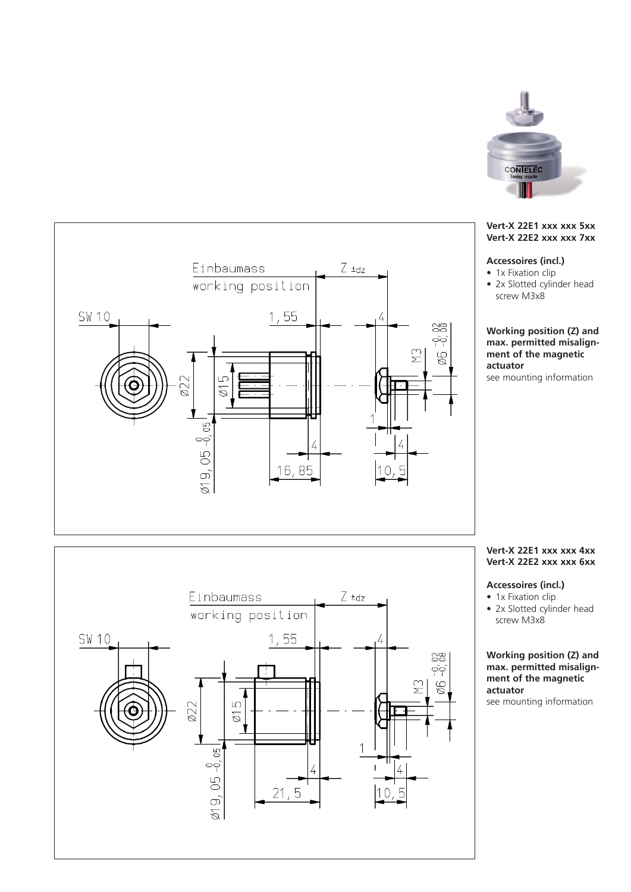

## **Vert-X 22E1 xxx xxx 5xx Vert-X 22E2 xxx xxx 7xx**

# **Accessoires (incl.)**

- 1x Fixation clip
- 2x Slotted cylinder head screw M3x8

**Working position (Z) and max. permitted misalignment of the magnetic actuator** see mounting information

### **Vert-X 22E1 xxx xxx 4xx Vert-X 22E2 xxx xxx 6xx**

## **Accessoires (incl.)**

- 1x Fixation clip
- 2x Slotted cylinder head screw M3x8

# **Working position (Z) and max. permitted misalignment of the magnetic actuator**

see mounting information



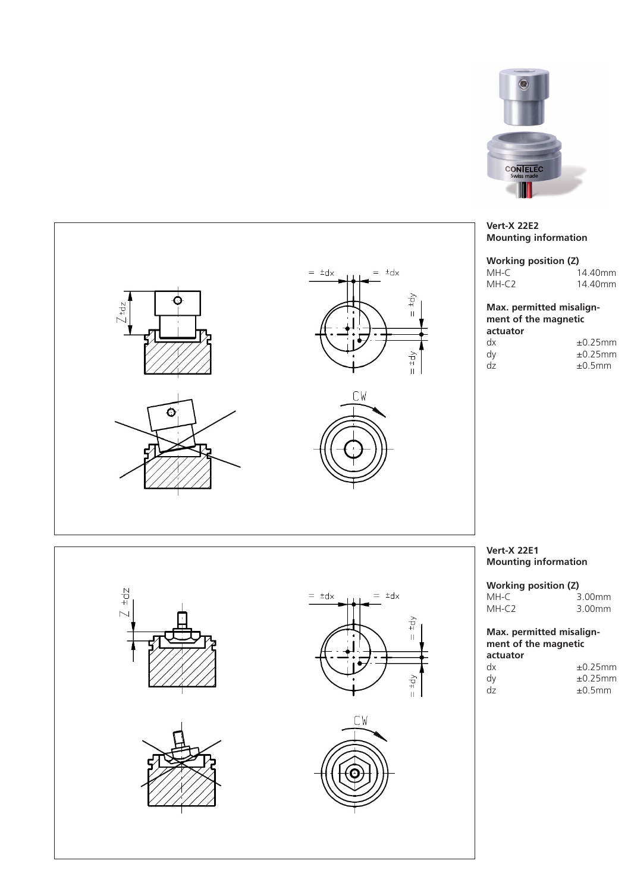